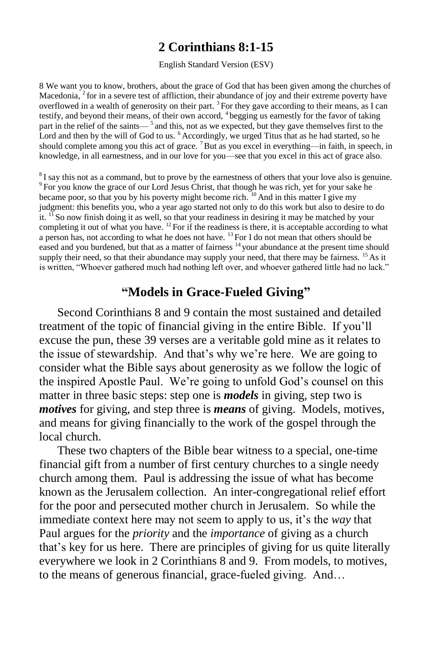### **2 Corinthians 8:1-15**

#### English Standard Version (ESV)

8 We want you to know, brothers, about the grace of God that has been given among the churches of Macedonia, <sup>2</sup> for in a severe test of affliction, their abundance of joy and their extreme poverty have overflowed in a wealth of generosity on their part.  $3$  For they gave according to their means, as I can testify, and beyond their means, of their own accord, <sup>4</sup> begging us earnestly for the favor of taking part in the relief of the saints—<sup>5</sup> and this, not as we expected, but they gave themselves first to the Lord and then by the will of God to us. <sup>6</sup> Accordingly, we urged Titus that as he had started, so he should complete among you this act of grace. <sup>7</sup>But as you excel in everything—in faith, in speech, in knowledge, in all earnestness, and in our love for you—see that you excel in this act of grace also.

<sup>8</sup> I say this not as a command, but to prove by the earnestness of others that your love also is genuine. 9 For you know the grace of our Lord Jesus Christ, that though he was rich, yet for your sake he became poor, so that you by his poverty might become rich.  $\frac{10}{10}$  And in this matter I give my judgment: this benefits you, who a year ago started not only to do this work but also to desire to do it.  $\frac{11}{11}$  So now finish doing it as well, so that your readiness in desiring it may be matched by your completing it out of what you have.  $^{12}$  For if the readiness is there, it is acceptable according to what a person has, not according to what he does not have. <sup>13</sup> For I do not mean that others should be eased and you burdened, but that as a matter of fairness <sup>14</sup> your abundance at the present time should supply their need, so that their abundance may supply your need, that there may be fairness. <sup>15</sup> As it is written, "Whoever gathered much had nothing left over, and whoever gathered little had no lack."

# **"Models in Grace-Fueled Giving"**

Second Corinthians 8 and 9 contain the most sustained and detailed treatment of the topic of financial giving in the entire Bible. If you'll excuse the pun, these 39 verses are a veritable gold mine as it relates to the issue of stewardship. And that's why we're here. We are going to consider what the Bible says about generosity as we follow the logic of the inspired Apostle Paul. We're going to unfold God's counsel on this matter in three basic steps: step one is *models* in giving, step two is *motives* for giving, and step three is *means* of giving. Models, motives, and means for giving financially to the work of the gospel through the local church.

 These two chapters of the Bible bear witness to a special, one-time financial gift from a number of first century churches to a single needy church among them. Paul is addressing the issue of what has become known as the Jerusalem collection. An inter-congregational relief effort for the poor and persecuted mother church in Jerusalem. So while the immediate context here may not seem to apply to us, it's the *way* that Paul argues for the *priority* and the *importance* of giving as a church that's key for us here. There are principles of giving for us quite literally everywhere we look in 2 Corinthians 8 and 9. From models, to motives, to the means of generous financial, grace-fueled giving. And…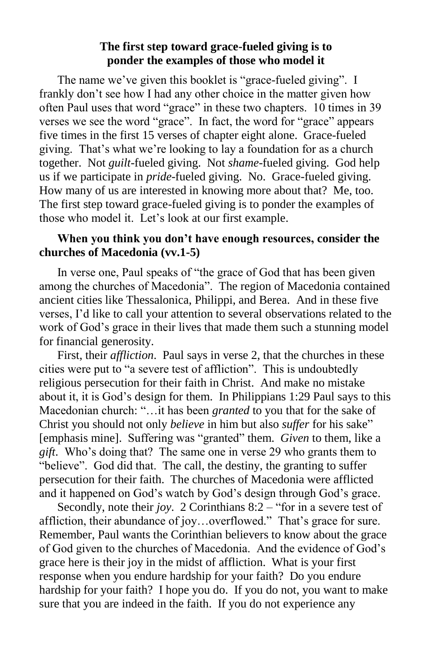#### **The first step toward grace-fueled giving is to ponder the examples of those who model it**

The name we've given this booklet is "grace-fueled giving". I frankly don't see how I had any other choice in the matter given how often Paul uses that word "grace" in these two chapters. 10 times in 39 verses we see the word "grace". In fact, the word for "grace" appears five times in the first 15 verses of chapter eight alone. Grace-fueled giving. That's what we're looking to lay a foundation for as a church together. Not *guilt*-fueled giving. Not *shame*-fueled giving. God help us if we participate in *pride*-fueled giving. No. Grace-fueled giving. How many of us are interested in knowing more about that? Me, too. The first step toward grace-fueled giving is to ponder the examples of those who model it. Let's look at our first example.

### **When you think you don't have enough resources, consider the churches of Macedonia (vv.1-5)**

In verse one, Paul speaks of "the grace of God that has been given among the churches of Macedonia". The region of Macedonia contained ancient cities like Thessalonica, Philippi, and Berea. And in these five verses, I'd like to call your attention to several observations related to the work of God's grace in their lives that made them such a stunning model for financial generosity.

 First, their *affliction*. Paul says in verse 2, that the churches in these cities were put to "a severe test of affliction". This is undoubtedly religious persecution for their faith in Christ. And make no mistake about it, it is God's design for them. In Philippians 1:29 Paul says to this Macedonian church: "…it has been *granted* to you that for the sake of Christ you should not only *believe* in him but also *suffer* for his sake" [emphasis mine]. Suffering was "granted" them. *Given* to them, like a *gift*. Who's doing that? The same one in verse 29 who grants them to "believe". God did that. The call, the destiny, the granting to suffer persecution for their faith. The churches of Macedonia were afflicted and it happened on God's watch by God's design through God's grace.

 Secondly, note their *joy*. 2 Corinthians 8:2 – "for in a severe test of affliction, their abundance of joy…overflowed." That's grace for sure. Remember, Paul wants the Corinthian believers to know about the grace of God given to the churches of Macedonia. And the evidence of God's grace here is their joy in the midst of affliction. What is your first response when you endure hardship for your faith? Do you endure hardship for your faith? I hope you do. If you do not, you want to make sure that you are indeed in the faith. If you do not experience any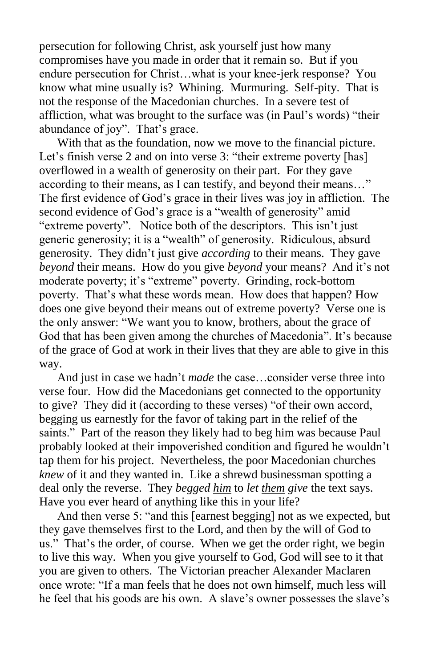persecution for following Christ, ask yourself just how many compromises have you made in order that it remain so. But if you endure persecution for Christ…what is your knee-jerk response? You know what mine usually is? Whining. Murmuring. Self-pity. That is not the response of the Macedonian churches. In a severe test of affliction, what was brought to the surface was (in Paul's words) "their abundance of joy". That's grace.

 With that as the foundation, now we move to the financial picture. Let's finish verse 2 and on into verse 3: "their extreme poverty [has] overflowed in a wealth of generosity on their part. For they gave according to their means, as I can testify, and beyond their means…" The first evidence of God's grace in their lives was joy in affliction. The second evidence of God's grace is a "wealth of generosity" amid "extreme poverty". Notice both of the descriptors. This isn't just generic generosity; it is a "wealth" of generosity. Ridiculous, absurd generosity. They didn't just give *according* to their means. They gave *beyond* their means. How do you give *beyond* your means? And it's not moderate poverty; it's "extreme" poverty. Grinding, rock-bottom poverty. That's what these words mean. How does that happen? How does one give beyond their means out of extreme poverty? Verse one is the only answer: "We want you to know, brothers, about the grace of God that has been given among the churches of Macedonia". It's because of the grace of God at work in their lives that they are able to give in this way.

 And just in case we hadn't *made* the case…consider verse three into verse four. How did the Macedonians get connected to the opportunity to give? They did it (according to these verses) "of their own accord, begging us earnestly for the favor of taking part in the relief of the saints." Part of the reason they likely had to beg him was because Paul probably looked at their impoverished condition and figured he wouldn't tap them for his project. Nevertheless, the poor Macedonian churches *knew* of it and they wanted in. Like a shrewd businessman spotting a deal only the reverse. They *begged him* to *let them give* the text says. Have you ever heard of anything like this in your life?

 And then verse 5: "and this [earnest begging] not as we expected, but they gave themselves first to the Lord, and then by the will of God to us." That's the order, of course. When we get the order right, we begin to live this way. When you give yourself to God, God will see to it that you are given to others. The Victorian preacher Alexander Maclaren once wrote: "If a man feels that he does not own himself, much less will he feel that his goods are his own. A slave's owner possesses the slave's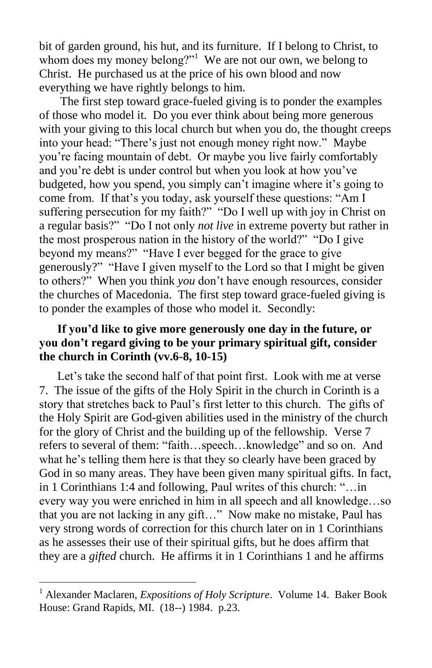bit of garden ground, his hut, and its furniture. If I belong to Christ, to whom does my money belong?"<sup>1</sup> We are not our own, we belong to Christ. He purchased us at the price of his own blood and now everything we have rightly belongs to him.

 The first step toward grace-fueled giving is to ponder the examples of those who model it. Do you ever think about being more generous with your giving to this local church but when you do, the thought creeps into your head: "There's just not enough money right now." Maybe you're facing mountain of debt. Or maybe you live fairly comfortably and you're debt is under control but when you look at how you've budgeted, how you spend, you simply can't imagine where it's going to come from. If that's you today, ask yourself these questions: "Am I suffering persecution for my faith?" "Do I well up with joy in Christ on a regular basis?" "Do I not only *not live* in extreme poverty but rather in the most prosperous nation in the history of the world?" "Do I give beyond my means?" "Have I ever begged for the grace to give generously?" "Have I given myself to the Lord so that I might be given to others?" When you think *you* don't have enough resources, consider the churches of Macedonia. The first step toward grace-fueled giving is to ponder the examples of those who model it. Secondly:

#### **If you'd like to give more generously one day in the future, or you don't regard giving to be your primary spiritual gift, consider the church in Corinth (vv.6-8, 10-15)**

Let's take the second half of that point first. Look with me at verse 7. The issue of the gifts of the Holy Spirit in the church in Corinth is a story that stretches back to Paul's first letter to this church. The gifts of the Holy Spirit are God-given abilities used in the ministry of the church for the glory of Christ and the building up of the fellowship. Verse 7 refers to several of them: "faith…speech…knowledge" and so on. And what he's telling them here is that they so clearly have been graced by God in so many areas. They have been given many spiritual gifts. In fact, in 1 Corinthians 1:4 and following, Paul writes of this church: "…in every way you were enriched in him in all speech and all knowledge…so that you are not lacking in any gift…" Now make no mistake, Paul has very strong words of correction for this church later on in 1 Corinthians as he assesses their use of their spiritual gifts, but he does affirm that they are a *gifted* church. He affirms it in 1 Corinthians 1 and he affirms

<sup>1</sup> Alexander Maclaren, *Expositions of Holy Scripture*. Volume 14. Baker Book House: Grand Rapids, MI. (18--) 1984. p.23.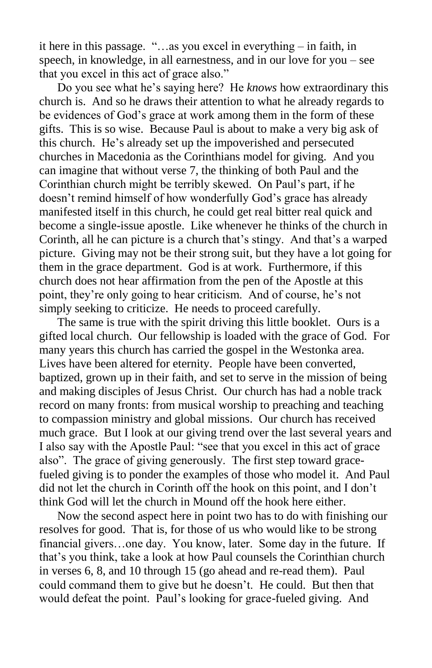it here in this passage. "…as you excel in everything – in faith, in speech, in knowledge, in all earnestness, and in our love for you – see that you excel in this act of grace also."

 Do you see what he's saying here? He *knows* how extraordinary this church is. And so he draws their attention to what he already regards to be evidences of God's grace at work among them in the form of these gifts. This is so wise. Because Paul is about to make a very big ask of this church. He's already set up the impoverished and persecuted churches in Macedonia as the Corinthians model for giving. And you can imagine that without verse 7, the thinking of both Paul and the Corinthian church might be terribly skewed. On Paul's part, if he doesn't remind himself of how wonderfully God's grace has already manifested itself in this church, he could get real bitter real quick and become a single-issue apostle. Like whenever he thinks of the church in Corinth, all he can picture is a church that's stingy. And that's a warped picture. Giving may not be their strong suit, but they have a lot going for them in the grace department. God is at work. Furthermore, if this church does not hear affirmation from the pen of the Apostle at this point, they're only going to hear criticism. And of course, he's not simply seeking to criticize. He needs to proceed carefully.

 The same is true with the spirit driving this little booklet. Ours is a gifted local church. Our fellowship is loaded with the grace of God. For many years this church has carried the gospel in the Westonka area. Lives have been altered for eternity. People have been converted, baptized, grown up in their faith, and set to serve in the mission of being and making disciples of Jesus Christ. Our church has had a noble track record on many fronts: from musical worship to preaching and teaching to compassion ministry and global missions. Our church has received much grace. But I look at our giving trend over the last several years and I also say with the Apostle Paul: "see that you excel in this act of grace also". The grace of giving generously. The first step toward gracefueled giving is to ponder the examples of those who model it. And Paul did not let the church in Corinth off the hook on this point, and I don't think God will let the church in Mound off the hook here either.

 Now the second aspect here in point two has to do with finishing our resolves for good. That is, for those of us who would like to be strong financial givers…one day. You know, later. Some day in the future. If that's you think, take a look at how Paul counsels the Corinthian church in verses 6, 8, and 10 through 15 (go ahead and re-read them). Paul could command them to give but he doesn't. He could. But then that would defeat the point. Paul's looking for grace-fueled giving. And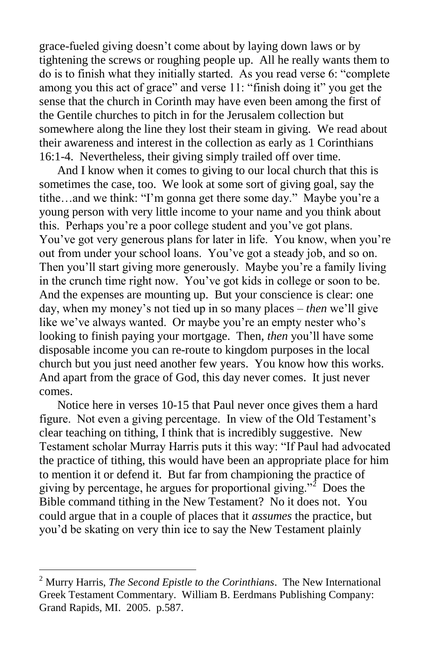grace-fueled giving doesn't come about by laying down laws or by tightening the screws or roughing people up. All he really wants them to do is to finish what they initially started. As you read verse 6: "complete among you this act of grace" and verse 11: "finish doing it" you get the sense that the church in Corinth may have even been among the first of the Gentile churches to pitch in for the Jerusalem collection but somewhere along the line they lost their steam in giving. We read about their awareness and interest in the collection as early as 1 Corinthians 16:1-4. Nevertheless, their giving simply trailed off over time.

 And I know when it comes to giving to our local church that this is sometimes the case, too. We look at some sort of giving goal, say the tithe…and we think: "I'm gonna get there some day." Maybe you're a young person with very little income to your name and you think about this. Perhaps you're a poor college student and you've got plans. You've got very generous plans for later in life. You know, when you're out from under your school loans. You've got a steady job, and so on. Then you'll start giving more generously. Maybe you're a family living in the crunch time right now. You've got kids in college or soon to be. And the expenses are mounting up. But your conscience is clear: one day, when my money's not tied up in so many places – *then* we'll give like we've always wanted. Or maybe you're an empty nester who's looking to finish paying your mortgage. Then, *then* you'll have some disposable income you can re-route to kingdom purposes in the local church but you just need another few years. You know how this works. And apart from the grace of God, this day never comes. It just never comes.

 Notice here in verses 10-15 that Paul never once gives them a hard figure. Not even a giving percentage. In view of the Old Testament's clear teaching on tithing, I think that is incredibly suggestive. New Testament scholar Murray Harris puts it this way: "If Paul had advocated the practice of tithing, this would have been an appropriate place for him to mention it or defend it. But far from championing the practice of giving by percentage, he argues for proportional giving."<sup>2</sup> Does the Bible command tithing in the New Testament? No it does not. You could argue that in a couple of places that it *assumes* the practice, but you'd be skating on very thin ice to say the New Testament plainly

<sup>2</sup> Murry Harris, *The Second Epistle to the Corinthians*. The New International Greek Testament Commentary. William B. Eerdmans Publishing Company: Grand Rapids, MI. 2005. p.587.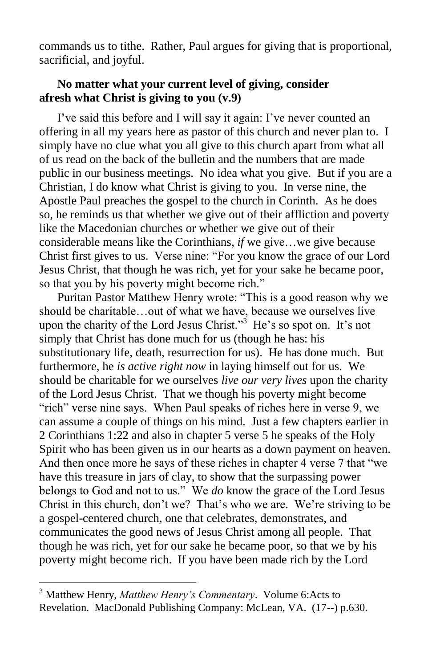commands us to tithe. Rather, Paul argues for giving that is proportional, sacrificial, and joyful.

### **No matter what your current level of giving, consider afresh what Christ is giving to you (v.9)**

 I've said this before and I will say it again: I've never counted an offering in all my years here as pastor of this church and never plan to. I simply have no clue what you all give to this church apart from what all of us read on the back of the bulletin and the numbers that are made public in our business meetings. No idea what you give. But if you are a Christian, I do know what Christ is giving to you. In verse nine, the Apostle Paul preaches the gospel to the church in Corinth. As he does so, he reminds us that whether we give out of their affliction and poverty like the Macedonian churches or whether we give out of their considerable means like the Corinthians, *if* we give…we give because Christ first gives to us. Verse nine: "For you know the grace of our Lord Jesus Christ, that though he was rich, yet for your sake he became poor, so that you by his poverty might become rich."

 Puritan Pastor Matthew Henry wrote: "This is a good reason why we should be charitable…out of what we have, because we ourselves live upon the charity of the Lord Jesus Christ."<sup>3</sup> He's so spot on. It's not simply that Christ has done much for us (though he has: his substitutionary life, death, resurrection for us). He has done much. But furthermore, he *is active right now* in laying himself out for us. We should be charitable for we ourselves *live our very lives* upon the charity of the Lord Jesus Christ. That we though his poverty might become "rich" verse nine says. When Paul speaks of riches here in verse 9, we can assume a couple of things on his mind. Just a few chapters earlier in 2 Corinthians 1:22 and also in chapter 5 verse 5 he speaks of the Holy Spirit who has been given us in our hearts as a down payment on heaven. And then once more he says of these riches in chapter 4 verse 7 that "we have this treasure in jars of clay, to show that the surpassing power belongs to God and not to us." We *do* know the grace of the Lord Jesus Christ in this church, don't we? That's who we are. We're striving to be a gospel-centered church, one that celebrates, demonstrates, and communicates the good news of Jesus Christ among all people. That though he was rich, yet for our sake he became poor, so that we by his poverty might become rich. If you have been made rich by the Lord

<sup>3</sup> Matthew Henry, *Matthew Henry's Commentary*. Volume 6:Acts to Revelation. MacDonald Publishing Company: McLean, VA. (17--) p.630.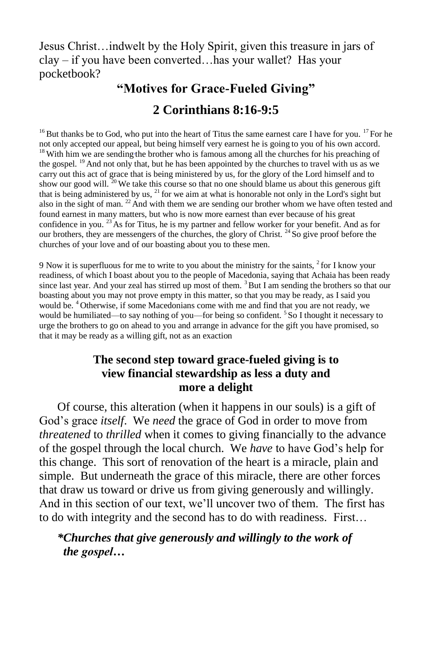Jesus Christ…indwelt by the Holy Spirit, given this treasure in jars of clay – if you have been converted…has your wallet? Has your pocketbook?

# **"Motives for Grace-Fueled Giving"**

# **2 Corinthians 8:16-9:5**

 $16$  But thanks be to God, who put into the heart of Titus the same earnest care I have for you. <sup>17</sup> For he not only accepted our appeal, but being himself very earnest he is going to you of his own accord. <sup>18</sup> With him we are sending the brother who is famous among all the churches for his preaching of the gospel.<sup>19</sup> And not only that, but he has been appointed by the churches to travel with us as we carry out this act of grace that is being ministered by us, for the glory of the Lord himself and to show our good will.  $^{20}$  We take this course so that no one should blame us about this generous gift that is being administered by us, <sup>21</sup> for we aim at what is honorable not only in the Lord's sight but also in the sight of man. <sup>22</sup> And with them we are sending our brother whom we have often tested and found earnest in many matters, but who is now more earnest than ever because of his great confidence in you.  $^{23}$  As for Titus, he is my partner and fellow worker for your benefit. And as for our brothers, they are messengers of the churches, the glory of Christ. <sup>24</sup> So give proof before the churches of your love and of our boasting about you to these men.

9 Now it is superfluous for me to write to you about the ministry for the saints, <sup>2</sup> for I know your readiness, of which I boast about you to the people of Macedonia, saying that Achaia has been ready since last year. And your zeal has stirred up most of them. <sup>3</sup>But I am sending the brothers so that our boasting about you may not prove empty in this matter, so that you may be ready, as I said you would be. <sup>4</sup> Otherwise, if some Macedonians come with me and find that you are not ready, we would be humiliated—to say nothing of you—for being so confident. <sup>5</sup> So I thought it necessary to urge the brothers to go on ahead to you and arrange in advance for the gift you have promised, so that it may be ready as a willing gift, not as an exaction

### **The second step toward grace-fueled giving is to view financial stewardship as less a duty and more a delight**

Of course, this alteration (when it happens in our souls) is a gift of God's grace *itself*. We *need* the grace of God in order to move from *threatened* to *thrilled* when it comes to giving financially to the advance of the gospel through the local church. We *have* to have God's help for this change. This sort of renovation of the heart is a miracle, plain and simple. But underneath the grace of this miracle, there are other forces that draw us toward or drive us from giving generously and willingly. And in this section of our text, we'll uncover two of them. The first has to do with integrity and the second has to do with readiness. First…

### *\*Churches that give generously and willingly to the work of the gospel…*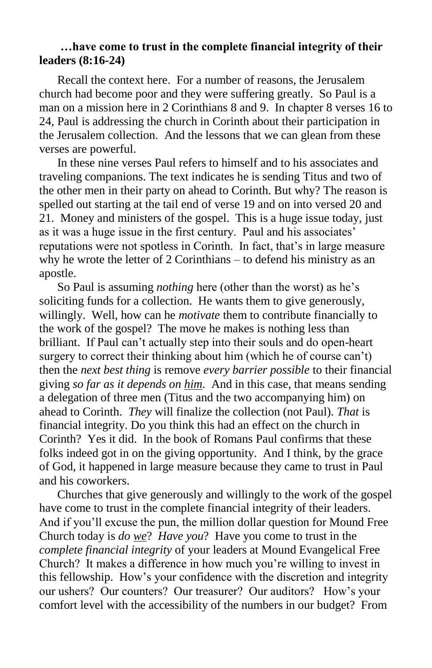#### **…have come to trust in the complete financial integrity of their leaders (8:16-24)**

 Recall the context here. For a number of reasons, the Jerusalem church had become poor and they were suffering greatly. So Paul is a man on a mission here in 2 Corinthians 8 and 9. In chapter 8 verses 16 to 24, Paul is addressing the church in Corinth about their participation in the Jerusalem collection. And the lessons that we can glean from these verses are powerful.

 In these nine verses Paul refers to himself and to his associates and traveling companions. The text indicates he is sending Titus and two of the other men in their party on ahead to Corinth. But why? The reason is spelled out starting at the tail end of verse 19 and on into versed 20 and 21. Money and ministers of the gospel. This is a huge issue today, just as it was a huge issue in the first century. Paul and his associates' reputations were not spotless in Corinth. In fact, that's in large measure why he wrote the letter of 2 Corinthians – to defend his ministry as an apostle.

 So Paul is assuming *nothing* here (other than the worst) as he's soliciting funds for a collection. He wants them to give generously, willingly. Well, how can he *motivate* them to contribute financially to the work of the gospel? The move he makes is nothing less than brilliant. If Paul can't actually step into their souls and do open-heart surgery to correct their thinking about him (which he of course can't) then the *next best thing* is remove *every barrier possible* to their financial giving *so far as it depends on him*. And in this case, that means sending a delegation of three men (Titus and the two accompanying him) on ahead to Corinth. *They* will finalize the collection (not Paul). *That* is financial integrity. Do you think this had an effect on the church in Corinth? Yes it did. In the book of Romans Paul confirms that these folks indeed got in on the giving opportunity. And I think, by the grace of God, it happened in large measure because they came to trust in Paul and his coworkers.

 Churches that give generously and willingly to the work of the gospel have come to trust in the complete financial integrity of their leaders. And if you'll excuse the pun, the million dollar question for Mound Free Church today is *do we*? *Have you*? Have you come to trust in the *complete financial integrity* of your leaders at Mound Evangelical Free Church? It makes a difference in how much you're willing to invest in this fellowship. How's your confidence with the discretion and integrity our ushers? Our counters? Our treasurer? Our auditors? How's your comfort level with the accessibility of the numbers in our budget? From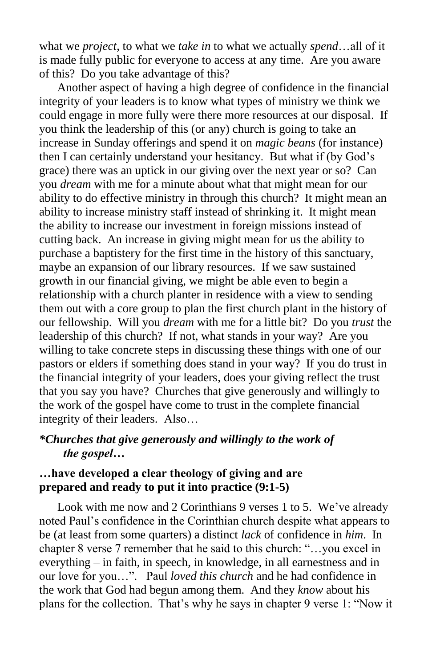what we *project*, to what we *take in* to what we actually *spend*…all of it is made fully public for everyone to access at any time. Are you aware of this? Do you take advantage of this?

 Another aspect of having a high degree of confidence in the financial integrity of your leaders is to know what types of ministry we think we could engage in more fully were there more resources at our disposal. If you think the leadership of this (or any) church is going to take an increase in Sunday offerings and spend it on *magic beans* (for instance) then I can certainly understand your hesitancy. But what if (by God's grace) there was an uptick in our giving over the next year or so? Can you *dream* with me for a minute about what that might mean for our ability to do effective ministry in through this church? It might mean an ability to increase ministry staff instead of shrinking it. It might mean the ability to increase our investment in foreign missions instead of cutting back. An increase in giving might mean for us the ability to purchase a baptistery for the first time in the history of this sanctuary, maybe an expansion of our library resources. If we saw sustained growth in our financial giving, we might be able even to begin a relationship with a church planter in residence with a view to sending them out with a core group to plan the first church plant in the history of our fellowship. Will you *dream* with me for a little bit? Do you *trust* the leadership of this church? If not, what stands in your way? Are you willing to take concrete steps in discussing these things with one of our pastors or elders if something does stand in your way? If you do trust in the financial integrity of your leaders, does your giving reflect the trust that you say you have? Churches that give generously and willingly to the work of the gospel have come to trust in the complete financial integrity of their leaders. Also…

#### *\*Churches that give generously and willingly to the work of the gospel…*

#### **…have developed a clear theology of giving and are prepared and ready to put it into practice (9:1-5)**

Look with me now and 2 Corinthians 9 verses 1 to 5. We've already noted Paul's confidence in the Corinthian church despite what appears to be (at least from some quarters) a distinct *lack* of confidence in *him*. In chapter 8 verse 7 remember that he said to this church: "…you excel in everything – in faith, in speech, in knowledge, in all earnestness and in our love for you…". Paul *loved this church* and he had confidence in the work that God had begun among them. And they *know* about his plans for the collection. That's why he says in chapter 9 verse 1: "Now it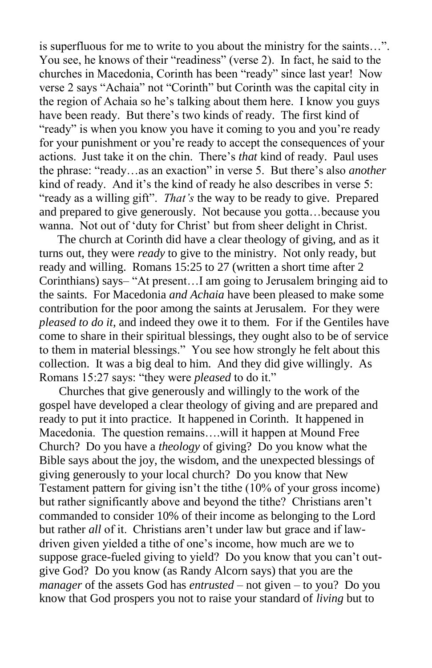is superfluous for me to write to you about the ministry for the saints…". You see, he knows of their "readiness" (verse 2). In fact, he said to the churches in Macedonia, Corinth has been "ready" since last year! Now verse 2 says "Achaia" not "Corinth" but Corinth was the capital city in the region of Achaia so he's talking about them here. I know you guys have been ready. But there's two kinds of ready. The first kind of "ready" is when you know you have it coming to you and you're ready for your punishment or you're ready to accept the consequences of your actions. Just take it on the chin. There's *that* kind of ready. Paul uses the phrase: "ready…as an exaction" in verse 5. But there's also *another* kind of ready. And it's the kind of ready he also describes in verse 5: "ready as a willing gift". *That's* the way to be ready to give. Prepared and prepared to give generously. Not because you gotta…because you wanna. Not out of 'duty for Christ' but from sheer delight in Christ.

 The church at Corinth did have a clear theology of giving, and as it turns out, they were *ready* to give to the ministry. Not only ready, but ready and willing. Romans 15:25 to 27 (written a short time after 2 Corinthians) says– "At present…I am going to Jerusalem bringing aid to the saints. For Macedonia *and Achaia* have been pleased to make some contribution for the poor among the saints at Jerusalem. For they were *pleased to do it*, and indeed they owe it to them. For if the Gentiles have come to share in their spiritual blessings, they ought also to be of service to them in material blessings." You see how strongly he felt about this collection. It was a big deal to him. And they did give willingly. As Romans 15:27 says: "they were *pleased* to do it."

Churches that give generously and willingly to the work of the gospel have developed a clear theology of giving and are prepared and ready to put it into practice. It happened in Corinth. It happened in Macedonia. The question remains….will it happen at Mound Free Church? Do you have a *theology* of giving? Do you know what the Bible says about the joy, the wisdom, and the unexpected blessings of giving generously to your local church? Do you know that New Testament pattern for giving isn't the tithe (10% of your gross income) but rather significantly above and beyond the tithe? Christians aren't commanded to consider 10% of their income as belonging to the Lord but rather *all* of it. Christians aren't under law but grace and if lawdriven given yielded a tithe of one's income, how much are we to suppose grace-fueled giving to yield? Do you know that you can't outgive God? Do you know (as Randy Alcorn says) that you are the *manager* of the assets God has *entrusted* – not given – to you? Do you know that God prospers you not to raise your standard of *living* but to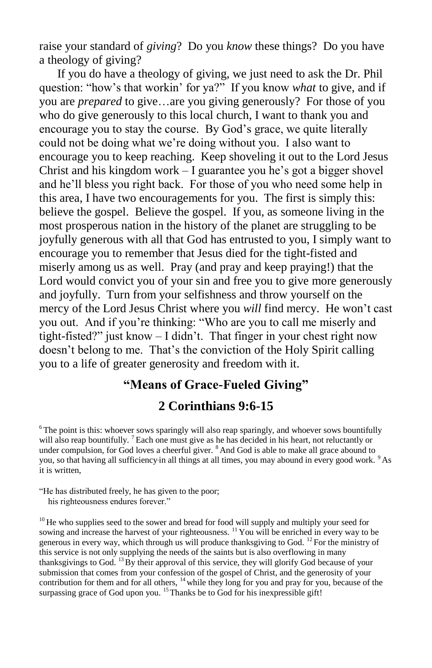raise your standard of *giving*? Do you *know* these things? Do you have a theology of giving?

 If you do have a theology of giving, we just need to ask the Dr. Phil question: "how's that workin' for ya?" If you know *what* to give, and if you are *prepared* to give…are you giving generously? For those of you who do give generously to this local church, I want to thank you and encourage you to stay the course. By God's grace, we quite literally could not be doing what we're doing without you. I also want to encourage you to keep reaching. Keep shoveling it out to the Lord Jesus Christ and his kingdom work – I guarantee you he's got a bigger shovel and he'll bless you right back. For those of you who need some help in this area, I have two encouragements for you. The first is simply this: believe the gospel. Believe the gospel. If you, as someone living in the most prosperous nation in the history of the planet are struggling to be joyfully generous with all that God has entrusted to you, I simply want to encourage you to remember that Jesus died for the tight-fisted and miserly among us as well. Pray (and pray and keep praying!) that the Lord would convict you of your sin and free you to give more generously and joyfully. Turn from your selfishness and throw yourself on the mercy of the Lord Jesus Christ where you *will* find mercy. He won't cast you out. And if you're thinking: "Who are you to call me miserly and tight-fisted?" just know – I didn't. That finger in your chest right now doesn't belong to me. That's the conviction of the Holy Spirit calling you to a life of greater generosity and freedom with it.

# **"Means of Grace-Fueled Giving" 2 Corinthians 9:6-15**

 $6$ The point is this: whoever sows sparingly will also reap sparingly, and whoever sows bountifully will also reap bountifully. <sup>7</sup> Each one must give as he has decided in his heart, not reluctantly or under compulsion, for God loves a cheerful giver. <sup>8</sup> And God is able to make all grace abound to you, so that having all sufficiency in all things at all times, you may abound in every good work. <sup>9</sup> As it is written,

<sup>10</sup> He who supplies seed to the sower and bread for food will supply and multiply your seed for sowing and increase the harvest of your righteousness. <sup>11</sup> You will be enriched in every way to be generous in every way, which through us will produce thanksgiving to God. <sup>12</sup> For the ministry of this service is not only supplying the needs of the saints but is also overflowing in many thanksgivings to God. <sup>13</sup>By their approval of this service, they will glorify God because of your submission that comes from your confession of the gospel of Christ, and the generosity of your contribution for them and for all others, <sup>14</sup> while they long for you and pray for you, because of the surpassing grace of God upon you.  $15$  Thanks be to God for his inexpressible gift!

<sup>&</sup>quot;He has distributed freely, he has given to the poor; his righteousness endures forever."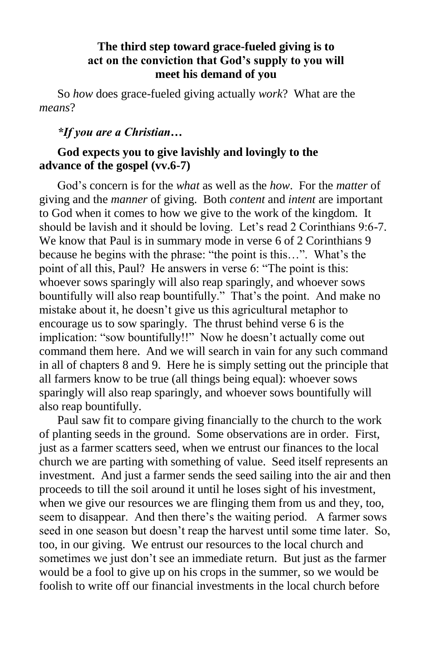#### **The third step toward grace-fueled giving is to act on the conviction that God's supply to you will meet his demand of you**

So *how* does grace-fueled giving actually *work*? What are the *means*?

#### *\*If you are a Christian…*

### **God expects you to give lavishly and lovingly to the advance of the gospel (vv.6-7)**

 God's concern is for the *what* as well as the *how*. For the *matter* of giving and the *manner* of giving. Both *content* and *intent* are important to God when it comes to how we give to the work of the kingdom. It should be lavish and it should be loving. Let's read 2 Corinthians 9:6-7. We know that Paul is in summary mode in verse 6 of 2 Corinthians 9 because he begins with the phrase: "the point is this…". What's the point of all this, Paul? He answers in verse 6: "The point is this: whoever sows sparingly will also reap sparingly, and whoever sows bountifully will also reap bountifully." That's the point. And make no mistake about it, he doesn't give us this agricultural metaphor to encourage us to sow sparingly. The thrust behind verse 6 is the implication: "sow bountifully!!" Now he doesn't actually come out command them here. And we will search in vain for any such command in all of chapters 8 and 9. Here he is simply setting out the principle that all farmers know to be true (all things being equal): whoever sows sparingly will also reap sparingly, and whoever sows bountifully will also reap bountifully.

 Paul saw fit to compare giving financially to the church to the work of planting seeds in the ground. Some observations are in order. First, just as a farmer scatters seed, when we entrust our finances to the local church we are parting with something of value. Seed itself represents an investment. And just a farmer sends the seed sailing into the air and then proceeds to till the soil around it until he loses sight of his investment, when we give our resources we are flinging them from us and they, too, seem to disappear. And then there's the waiting period. A farmer sows seed in one season but doesn't reap the harvest until some time later. So, too, in our giving. We entrust our resources to the local church and sometimes we just don't see an immediate return. But just as the farmer would be a fool to give up on his crops in the summer, so we would be foolish to write off our financial investments in the local church before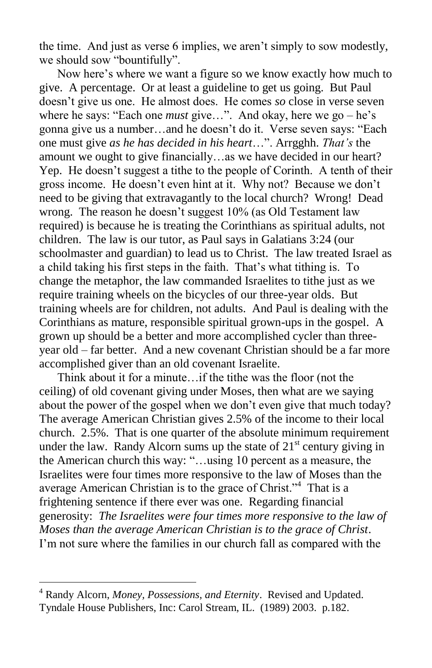the time. And just as verse 6 implies, we aren't simply to sow modestly, we should sow "bountifully".

 Now here's where we want a figure so we know exactly how much to give. A percentage. Or at least a guideline to get us going. But Paul doesn't give us one. He almost does. He comes *so* close in verse seven where he says: "Each one *must* give…". And okay, here we go – he's gonna give us a number…and he doesn't do it. Verse seven says: "Each one must give *as he has decided in his heart*…". Arrgghh. *That's* the amount we ought to give financially…as we have decided in our heart? Yep. He doesn't suggest a tithe to the people of Corinth. A tenth of their gross income. He doesn't even hint at it. Why not? Because we don't need to be giving that extravagantly to the local church? Wrong! Dead wrong. The reason he doesn't suggest 10% (as Old Testament law required) is because he is treating the Corinthians as spiritual adults, not children. The law is our tutor, as Paul says in Galatians 3:24 (our schoolmaster and guardian) to lead us to Christ. The law treated Israel as a child taking his first steps in the faith. That's what tithing is. To change the metaphor, the law commanded Israelites to tithe just as we require training wheels on the bicycles of our three-year olds. But training wheels are for children, not adults. And Paul is dealing with the Corinthians as mature, responsible spiritual grown-ups in the gospel. A grown up should be a better and more accomplished cycler than threeyear old – far better. And a new covenant Christian should be a far more accomplished giver than an old covenant Israelite.

 Think about it for a minute…if the tithe was the floor (not the ceiling) of old covenant giving under Moses, then what are we saying about the power of the gospel when we don't even give that much today? The average American Christian gives 2.5% of the income to their local church. 2.5%. That is one quarter of the absolute minimum requirement under the law. Randy Alcorn sums up the state of  $21<sup>st</sup>$  century giving in the American church this way: "…using 10 percent as a measure, the Israelites were four times more responsive to the law of Moses than the average American Christian is to the grace of Christ."<sup>4</sup> That is a frightening sentence if there ever was one. Regarding financial generosity: *The Israelites were four times more responsive to the law of Moses than the average American Christian is to the grace of Christ*. I'm not sure where the families in our church fall as compared with the

<sup>4</sup> Randy Alcorn, *Money, Possessions, and Eternity*. Revised and Updated. Tyndale House Publishers, Inc: Carol Stream, IL. (1989) 2003. p.182.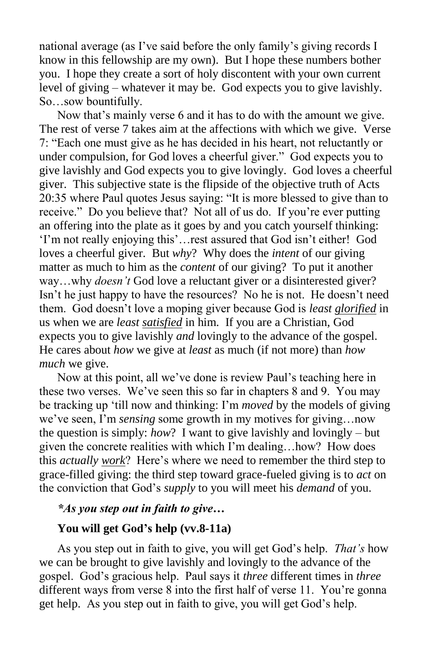national average (as I've said before the only family's giving records I know in this fellowship are my own). But I hope these numbers bother you. I hope they create a sort of holy discontent with your own current level of giving – whatever it may be. God expects you to give lavishly. So…sow bountifully.

 Now that's mainly verse 6 and it has to do with the amount we give. The rest of verse 7 takes aim at the affections with which we give. Verse 7: "Each one must give as he has decided in his heart, not reluctantly or under compulsion, for God loves a cheerful giver." God expects you to give lavishly and God expects you to give lovingly. God loves a cheerful giver. This subjective state is the flipside of the objective truth of Acts 20:35 where Paul quotes Jesus saying: "It is more blessed to give than to receive." Do you believe that? Not all of us do. If you're ever putting an offering into the plate as it goes by and you catch yourself thinking: 'I'm not really enjoying this'…rest assured that God isn't either! God loves a cheerful giver. But *why*? Why does the *intent* of our giving matter as much to him as the *content* of our giving? To put it another way…why *doesn't* God love a reluctant giver or a disinterested giver? Isn't he just happy to have the resources? No he is not. He doesn't need them. God doesn't love a moping giver because God is *least glorified* in us when we are *least satisfied* in him. If you are a Christian, God expects you to give lavishly *and* lovingly to the advance of the gospel. He cares about *how* we give at *least* as much (if not more) than *how much* we give.

 Now at this point, all we've done is review Paul's teaching here in these two verses. We've seen this so far in chapters 8 and 9. You may be tracking up 'till now and thinking: I'm *moved* by the models of giving we've seen, I'm *sensing* some growth in my motives for giving…now the question is simply: *how*? I want to give lavishly and lovingly – but given the concrete realities with which I'm dealing…how? How does this *actually work*? Here's where we need to remember the third step to grace-filled giving: the third step toward grace-fueled giving is to *act* on the conviction that God's *supply* to you will meet his *demand* of you.

### *\*As you step out in faith to give…*

#### **You will get God's help (vv.8-11a)**

As you step out in faith to give, you will get God's help. *That's* how we can be brought to give lavishly and lovingly to the advance of the gospel. God's gracious help. Paul says it *three* different times in *three* different ways from verse 8 into the first half of verse 11. You're gonna get help. As you step out in faith to give, you will get God's help.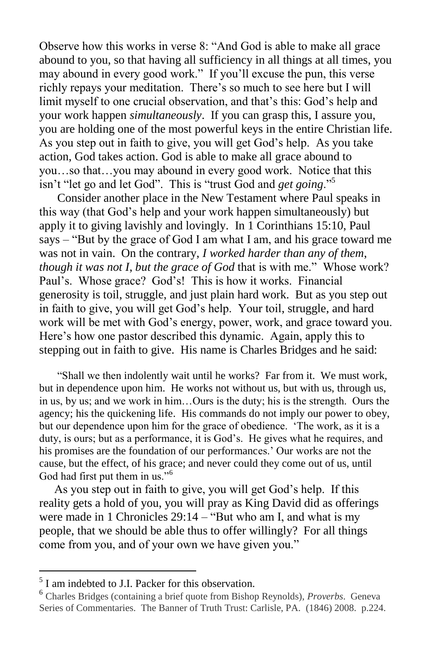Observe how this works in verse 8: "And God is able to make all grace abound to you, so that having all sufficiency in all things at all times, you may abound in every good work." If you'll excuse the pun, this verse richly repays your meditation. There's so much to see here but I will limit myself to one crucial observation, and that's this: God's help and your work happen *simultaneously*. If you can grasp this, I assure you, you are holding one of the most powerful keys in the entire Christian life. As you step out in faith to give, you will get God's help. As you take action, God takes action. God is able to make all grace abound to you…so that…you may abound in every good work. Notice that this isn't "let go and let God". This is "trust God and *get going*."<sup>5</sup>

 Consider another place in the New Testament where Paul speaks in this way (that God's help and your work happen simultaneously) but apply it to giving lavishly and lovingly. In 1 Corinthians 15:10, Paul says – "But by the grace of God I am what I am, and his grace toward me was not in vain. On the contrary, *I worked harder than any of them*, *though it was not I*, *but the grace of God* that is with me." Whose work? Paul's. Whose grace? God's! This is how it works. Financial generosity is toil, struggle, and just plain hard work. But as you step out in faith to give, you will get God's help. Your toil, struggle, and hard work will be met with God's energy, power, work, and grace toward you. Here's how one pastor described this dynamic. Again, apply this to stepping out in faith to give. His name is Charles Bridges and he said:

 "Shall we then indolently wait until he works? Far from it. We must work, but in dependence upon him. He works not without us, but with us, through us, in us, by us; and we work in him…Ours is the duty; his is the strength. Ours the agency; his the quickening life. His commands do not imply our power to obey, but our dependence upon him for the grace of obedience. 'The work, as it is a duty, is ours; but as a performance, it is God's. He gives what he requires, and his promises are the foundation of our performances.' Our works are not the cause, but the effect, of his grace; and never could they come out of us, until God had first put them in us."<sup>6</sup>

 As you step out in faith to give, you will get God's help. If this reality gets a hold of you, you will pray as King David did as offerings were made in 1 Chronicles 29:14 – "But who am I, and what is my people, that we should be able thus to offer willingly? For all things come from you, and of your own we have given you."

<sup>&</sup>lt;sup>5</sup> I am indebted to J.I. Packer for this observation.

<sup>6</sup> Charles Bridges (containing a brief quote from Bishop Reynolds), *Proverbs*. Geneva Series of Commentaries. The Banner of Truth Trust: Carlisle, PA. (1846) 2008. p.224.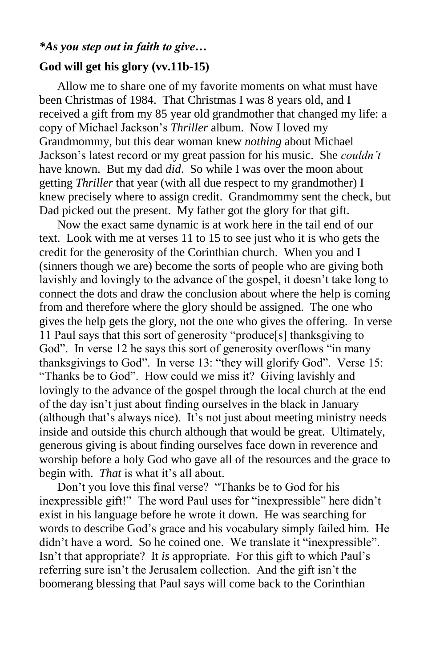### *\*As you step out in faith to give…*

#### **God will get his glory (vv.11b-15)**

Allow me to share one of my favorite moments on what must have been Christmas of 1984. That Christmas I was 8 years old, and I received a gift from my 85 year old grandmother that changed my life: a copy of Michael Jackson's *Thriller* album. Now I loved my Grandmommy, but this dear woman knew *nothing* about Michael Jackson's latest record or my great passion for his music. She *couldn't* have known. But my dad *did*. So while I was over the moon about getting *Thriller* that year (with all due respect to my grandmother) I knew precisely where to assign credit. Grandmommy sent the check, but Dad picked out the present. My father got the glory for that gift.

 Now the exact same dynamic is at work here in the tail end of our text. Look with me at verses 11 to 15 to see just who it is who gets the credit for the generosity of the Corinthian church. When you and I (sinners though we are) become the sorts of people who are giving both lavishly and lovingly to the advance of the gospel, it doesn't take long to connect the dots and draw the conclusion about where the help is coming from and therefore where the glory should be assigned. The one who gives the help gets the glory, not the one who gives the offering. In verse 11 Paul says that this sort of generosity "produce[s] thanksgiving to God". In verse 12 he says this sort of generosity overflows "in many thanksgivings to God". In verse 13: "they will glorify God". Verse 15: "Thanks be to God". How could we miss it? Giving lavishly and lovingly to the advance of the gospel through the local church at the end of the day isn't just about finding ourselves in the black in January (although that's always nice). It's not just about meeting ministry needs inside and outside this church although that would be great. Ultimately, generous giving is about finding ourselves face down in reverence and worship before a holy God who gave all of the resources and the grace to begin with. *That* is what it's all about.

 Don't you love this final verse? "Thanks be to God for his inexpressible gift!" The word Paul uses for "inexpressible" here didn't exist in his language before he wrote it down. He was searching for words to describe God's grace and his vocabulary simply failed him. He didn't have a word. So he coined one. We translate it "inexpressible". Isn't that appropriate? It *is* appropriate. For this gift to which Paul's referring sure isn't the Jerusalem collection. And the gift isn't the boomerang blessing that Paul says will come back to the Corinthian